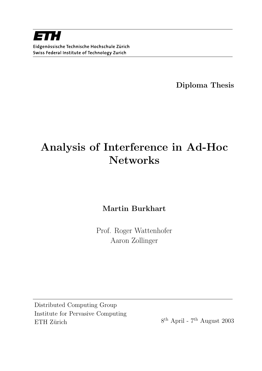

Diploma Thesis

# Analysis of Interference in Ad-Hoc **Networks**

Martin Burkhart

Prof. Roger Wattenhofer Aaron Zollinger

Distributed Computing Group Institute for Pervasive Computing ETH Zürich

 $8^{\text{th}}$  April -  $7^{\text{th}}$  August 2003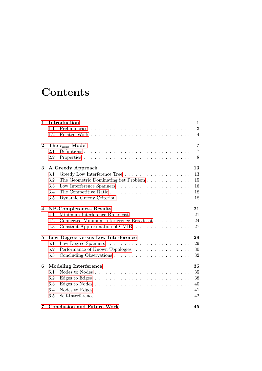## **Contents**

| $\mathbf{1}$ | Introduction<br>$\mathbf 1$                                                     |                |  |  |  |
|--------------|---------------------------------------------------------------------------------|----------------|--|--|--|
|              | 1.1                                                                             | 3              |  |  |  |
|              | 1.2                                                                             | $\overline{4}$ |  |  |  |
| $\bf{2}$     | The $r_{max}$ Model                                                             |                |  |  |  |
|              | Definitions<br>2.1                                                              | $\overline{7}$ |  |  |  |
|              | 2.2                                                                             | 8              |  |  |  |
| 3            | A Greedy Approach                                                               | 13             |  |  |  |
|              | Greedy Low Interference Tree<br>3.1                                             | 13             |  |  |  |
|              | 3.2<br>The Geometric Dominating Set Problem                                     | 15             |  |  |  |
|              | 3.3                                                                             | 16             |  |  |  |
|              | The Competitive Ratio $\ldots \ldots \ldots \ldots \ldots \ldots \ldots$<br>3.4 | 18             |  |  |  |
|              | 3.5                                                                             | 18             |  |  |  |
| 4            | NP-Completeness Results                                                         | 21             |  |  |  |
|              | Minimum Interference Broadcast<br>4.1                                           | 21             |  |  |  |
|              | Connected Minimum Interference Broadcast<br>4.2                                 | 24             |  |  |  |
|              | 4.3<br>Constant Approximation of CMIB                                           | 27             |  |  |  |
| 5            | Low Degree versus Low Interference                                              | 29             |  |  |  |
|              | 5.1                                                                             | 29             |  |  |  |
|              | Performance of Known Topologies<br>5.2                                          | 30             |  |  |  |
|              | 5.3                                                                             | 32             |  |  |  |
| 6            | <b>Modeling Interference</b>                                                    | 35             |  |  |  |
|              | 6.1                                                                             | 35             |  |  |  |
|              | 6.2                                                                             | 38             |  |  |  |
|              | 6.3                                                                             | 40             |  |  |  |
|              | 6.4                                                                             | 41             |  |  |  |
|              | Self-Interference<br>6.5                                                        | 42             |  |  |  |
| 7            | <b>Conclusion and Future Work</b><br>45                                         |                |  |  |  |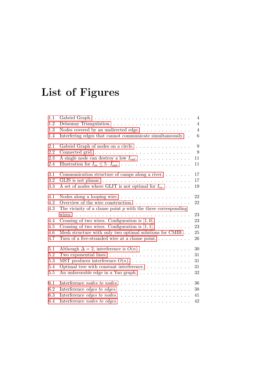# List of Figures

| 1.1     |                                                                            | $\overline{4}$   |
|---------|----------------------------------------------------------------------------|------------------|
| 1.2     | Delaunay Triangulation. $\ldots \ldots \ldots \ldots \ldots \ldots \ldots$ | $\overline{4}$   |
| 1.3     | Nodes covered by an undirected edge. $\ldots \ldots \ldots \ldots$         | $\overline{4}$   |
| 1.4     | Interfering edges that cannot communicate simultaneously. .                | $6\phantom{.}6$  |
| 2.1     | Gabriel Graph of nodes on a circle                                         | 9                |
| 2.2     |                                                                            | $\boldsymbol{9}$ |
| 2.3     | A single node can destroy a low $I_{out}$                                  | 11               |
| 2.4     |                                                                            | 11               |
| 3.1     | Communication structure of camps along a river. $\dots \dots$              | 17               |
| 3.2     | GLIS is not planar                                                         | 17               |
| $3.3\,$ | A set of nodes where GLIT is not optimal for $I_{in}$                      | 19               |
| 4.1     |                                                                            | 22               |
| 4.2     | Overview of the wire construction.                                         | 22               |
| 4.3     | The vicinity of a clause point $p$ with the three corresponding            |                  |
|         | wires.                                                                     | 23               |
| 4.4     | Crossing of two wires. Configuration is $[1,0]$ .                          | 23               |
| 4.5     | Crossing of two wires. Configuration is [1, 1]. $\dots \dots \dots$        | 23               |
| 4.6     | Mesh structure with only two optimal solutions for CMIB.                   | 25               |
| 4.7     | Turn of a five-stranded wire at a clause point                             | 26               |
| 5.1     | Although $\Delta = 2$ , interference is $O(n)$ .                           | 30               |
| $5.2\,$ | Two exponential lines. $\ldots \ldots \ldots \ldots \ldots \ldots \ldots$  | 31               |
| 5.3     | MST produces interference $O(n)$ .                                         | 31               |
| 5.4     | Optimal tree with constant interference. $\ldots \ldots \ldots \ldots$     | 31               |
| $5.5\,$ | An unfavorable edge in a Yao graph                                         | $32\,$           |
| 6.1     | .<br>Interference <i>nodes</i> to <i>nodes</i> .                           | 36               |
| 6.2     | Interference edges to edges.<br>.                                          | 38               |
| 6.3     | Interference edges to nodes.<br>.                                          | 41               |
| 6.4     | Interference nodes to edges.<br>.                                          | 42               |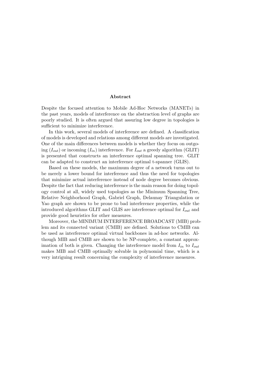#### Abstract

Despite the focused attention to Mobile Ad-Hoc Networks (MANETs) in the past years, models of interference on the abstraction level of graphs are poorly studied. It is often argued that assuring low degree in topologies is sufficient to minimize interference.

In this work, several models of interference are defined. A classification of models is developed and relations among different models are investigated. One of the main differences between models is whether they focus on outgoing  $(I_{out})$  or incoming  $(I_{in})$  interference. For  $I_{out}$  a greedy algorithm (GLIT) is presented that constructs an interference optimal spanning tree. GLIT can be adapted to construct an interference optimal t-spanner (GLIS).

Based on these models, the maximum degree of a network turns out to be merely a lower bound for interference and thus the need for topologies that minimize actual interference instead of node degree becomes obvious. Despite the fact that reducing interference is the main reason for doing topology control at all, widely used topologies as the Minimum Spanning Tree, Relative Neighborhood Graph, Gabriel Graph, Delaunay Triangulation or Yao graph are shown to be prone to bad interference properties, while the introduced algorithms GLIT and GLIS are interference optimal for  $I_{out}$  and provide good heuristics for other measures.

Moreover, the MINIMUM INTERFERENCE BROADCAST (MIB) problem and its connected variant (CMIB) are defined. Solutions to CMIB can be used as interference optimal virtual backbones in ad-hoc networks. Although MIB and CMIB are shown to be NP-complete, a constant approximation of both is given. Changing the interference model from  $I_{in}$  to  $I_{out}$ makes MIB and CMIB optimally solvable in polynomial time, which is a very intriguing result concerning the complexity of interference measures.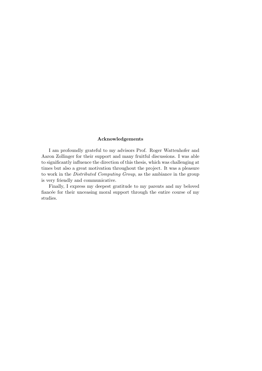#### Acknowledgements

I am profoundly grateful to my advisors Prof. Roger Wattenhofer and Aaron Zollinger for their support and many fruitful discussions. I was able to significantly influence the direction of this thesis, which was challenging at times but also a great motivation throughout the project. It was a pleasure to work in the Distributed Computing Group, as the ambiance in the group is very friendly and communicative.

Finally, I express my deepest gratitude to my parents and my beloved fiancée for their unceasing moral support through the entire course of my studies.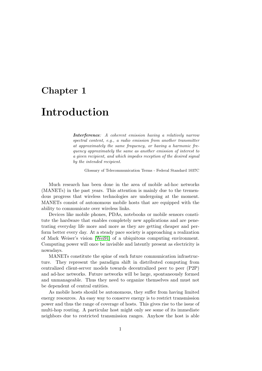### <span id="page-10-0"></span>Chapter 1

## Introduction

Interference: A coherent emission having a relatively narrow spectral content, e.g., a radio emission from another transmitter at approximately the same frequency, or having a harmonic frequency approximately the same as another emission of interest to a given recipient, and which impedes reception of the desired signal by the intended recipient.

Glossary of Telecommunication Terms - Federal Standard 1037C

Much research has been done in the area of mobile ad-hoc networks (MANETs) in the past years. This attention is mainly due to the tremendous progress that wireless technologies are undergoing at the moment. MANETs consist of autonomous mobile hosts that are equipped with the ability to communicate over wireless links.

Devices like mobile phones, PDAs, notebooks or mobile sensors constitute the hardware that enables completely new applications and are penetrating everyday life more and more as they are getting cheaper and perform better every day. At a steady pace society is approaching a realization of Mark Weiser's vision [Wei91] of a ubiquitous computing environment. Computing power will once be invisible and latently present as electricity is nowadays.

MANETs constitute the spine of such future communication infrastructure. They represent th[e parad](#page-57-0)igm shift in distributed computing from centralized client-server models towards decentralized peer to peer (P2P) and ad-hoc networks. Future networks will be large, spontaneously formed and unmanageable. Thus they need to organize themselves and must not be dependent of central entities.

As mobile hosts should be autonomous, they suffer from having limited energy resources. An easy way to conserve energy is to restrict transmission power and thus the range of coverage of hosts. This gives rise to the issue of multi-hop routing. A particular host might only see some of its immediate neighbors due to restricted transmission ranges. Anyhow the host is able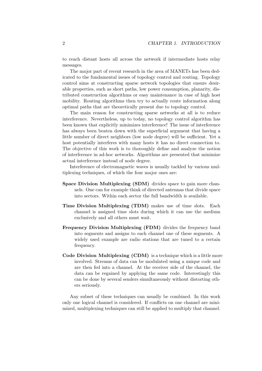to reach distant hosts all across the network if intermediate hosts relay messages.

The major part of recent research in the area of MANETs has been dedicated to the fundamental issues of topology control and routing. Topology control aims at constructing sparse network topologies that ensure desirable properties, such as short paths, low power consumption, planarity, distributed construction algorithms or easy maintenance in case of high host mobility. Routing algorithms then try to actually route information along optimal paths that are theoretically present due to topology control.

The main reason for constructing sparse networks at all is to reduce interference. Nevertheless, up to today, no topology control algorithm has been known that explicitly minimizes interference! The issue of interference has always been beaten down with the superficial argument that having a little number of direct neighbors (low node degree) will be sufficient. Yet a host potentially interferes with many hosts it has no direct connection to. The objective of this work is to thoroughly define and analyze the notion of interference in ad-hoc networks. Algorithms are presented that minimize actual interference instead of node degree.

Interference of electromagnetic waves is usually tackled by various multiplexing techniques, of which the four major ones are:

- Space Division Multiplexing (SDM) divides space to gain more channels. One can for example think of directed antennas that divide space into sectors. Within each sector the full bandwidth is available.
- Time Division Multiplexing (TDM) makes use of time slots. Each channel is assigned time slots during which it can use the medium exclusively and all others must wait.
- Frequency Division Multiplexing (FDM) divides the frequency band into segments and assigns to each channel one of these segments. A widely used example are radio stations that are tuned to a certain frequency.
- Code Division Multiplexing (CDM) is a technique which is a little more involved. Streams of data can be modulated using a unique code and are then fed into a channel. At the receiver side of the channel, the data can be regained by applying the same code. Interestingly this can be done by several senders simultaneously without distorting others seriously.

Any subset of these techniques can usually be combined. In this work only one logical channel is considered. If conflicts on one channel are minimized, multiplexing techniques can still be applied to multiply that channel.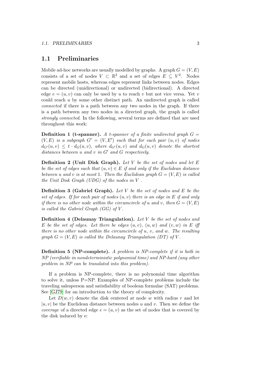#### <span id="page-12-0"></span>1.1 Preliminaries

Mobile ad-hoc networks are usually modelled by graphs. A graph  $G = (V, E)$ consists of a set of nodes  $V \subset \mathbb{R}^2$  and a set of edges  $E \subseteq V^2$ . Nodes represent mobile hosts, whereas edges represent links between nodes. Edges can be directed (unidirectional) or undirected (bidirectional). A directed edge  $e = (u, v)$  can only be used by u to reach v but not vice versa. Yet v could reach  $u$  by some other distinct path. An undirected graph is called connected if there is a path between any two nodes in the graph. If there is a path between any two nodes in a directed graph, the graph is called strongly connected. In the following, several terms are defined that are used throughout this work:

**Definition 1 (t-spanner).** A t-spanner of a finite undirected graph  $G =$  $(V, E)$  is a subgraph  $G' = (V, E')$  such that for each pair  $(u, v)$  of nodes  $d_{G}(u, v) \leq t \cdot d_{G}(u, v)$ , where  $d_{G}(u, v)$  and  $d_{G}(u, v)$  denote the shortest distances between  $u$  and  $v$  in  $G'$  and  $G$  respectively.

**Definition 2 (Unit Disk Graph).** Let V be the set of nodes and let  $E$ be the set of edges such that  $(u, v) \in E$  if and only if the Euclidean distance between u and v is at most 1. Then the Euclidean graph  $G = (V, E)$  is called the Unit Disk Graph (UDG) of the nodes in V .

**Definition 3 (Gabriel Graph).** Let V be the set of nodes and E be the set of edges. If for each pair of nodes  $(u, v)$  there is an edge in E if and only if there is no other node within the circumcircle of u and v, then  $G = (V, E)$ is called the Gabriel Graph  $(GG)$  of V.

**Definition 4 (Delaunay Triangulation).** Let V be the set of nodes and E be the set of edges. Let there be edges  $(u, v)$ ,  $(u, w)$  and  $(v, w)$  in E iff there is no other node within the circumcircle of  $u, v,$  and  $w$ . The resulting graph  $G = (V, E)$  is called the Delaunay Triangulation (DT) of V.

**Definition 5 (NP-complete).** A problem is NP-complete if it is both in NP (verifiable in nondeterministic polynomial time) and NP-hard (any other problem in NP can be translated into this problem).

If a problem is NP-complete, there is no polynomial time algorithm to solve it, unless  $P=NP$ . Examples of NP-complete problems include the traveling salesperson and satisfiability of boolean formulae (SAT) problems. See [GJ79] for an introduction to the theory of complexity.

Let  $D(w, r)$  denote the disk centered at node w with radius r and let  $|u, v|$  be the Euclidean distance between nodes u and v. Then we define the *coverage* of a directed edge  $e = (u, v)$  as the set of nodes that is covered by the [disk in](#page-56-0)duced by e: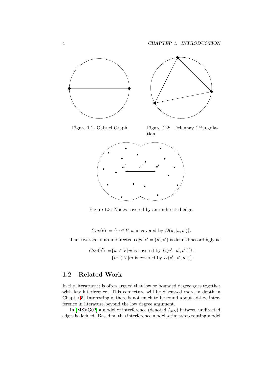<span id="page-13-0"></span>

Figure 1.1: Gabriel Graph. Figure 1.2: Delaunay Triangulation.



Figure 1.3: Nodes covered by an undirected edge.

 $Cov(e) := \{w \in V | w \text{ is covered by } D(u, |u, v|)\}.$ 

The coverage of an undirected edge  $e' = (u', v')$  is defined accordingly as

 $Cov(e') := \{w \in V | w$  is covered by  $D(u', | u', v'|)\} \cup$  ${m \in V | m \text{ is covered by } D(v', | v', u'|)}.$ 

#### 1.2 Related Work

In the literature it is often argued that low or bounded degree goes together with low interference. This conjecture will be discussed more in depth in Chapter 5. Interestingly, there is not much to be found about ad-hoc interference in literature beyond the low degree argument.

In [MSVG02] a model of interference (denoted  $I_{MS}$ ) between undirected edges is [de](#page-38-0)fined. Based on this interference model a time-step routing model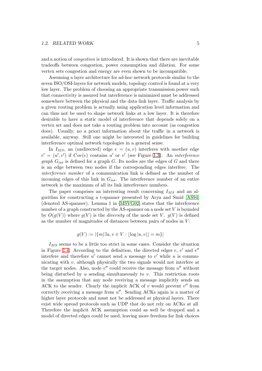and a notion of *congestion* is introduced. It is shown that there are inevitable tradeoffs between congestion, power consumption and dilation. For some vertex sets congestion and energy are even shown to be incompatible.

Assuming a layer architecture for ad-hoc network protocols similar to the seven ISO/OSI-layers for network models, topology control is found at a very low layer. The problem of choosing an appropriate transmission power such that connectivity is assured but interference is minimized must be addressed somewhere between the physical and the data link layer. Traffic analysis by a given routing problem is actually using application level information and can thus not be used to shape network links at a low layer. It is therefore desirable to have a static model of interference that depends solely on a vertex set and does not take a routing problem into account (as congestion does). Usually, no a priori information about the traffic in a network is available, anyway. Still one might be interested in guidelines for building interference optimal network topologies in a general sense.

In  $I_{MS}$ , an (undirected) edge  $e = (u, v)$  interferes with another edge  $e' = (u', v')$  if  $Cov(e)$  contains u' or v' (see Figure 1.3). An interference  $graph G_{int}$  is defined for a graph G. Its nodes are the edges of G and there is an edge between two nodes if the corresponding edges interfere. The interference number of a communication link is defined as the number of incoming edges of this link in  $G_{int}$ . The interferenc[e nu](#page-13-0)mber of an entire network is the maximum of all its link interference numbers.

The paper comprises an interesting result concerning  $I_{MS}$  and an algorithm for constructing a t-spanner presented by Arya and Smid [AS94] (denoted AS-spanner). Lemma 1 in [MSVG02] states that the interference number of a graph constructed by the AS-spanner on a node set V is bounded by  $O(g(V))$  where  $g(V)$  is the *diversity* of the node set V.  $g(V)$  is [defined](#page-56-0) as the number of magnitudes of dista[nces betw](#page-57-0)een pairs of nodes in  $V$ :

$$
g(V) := |\{m | \exists u, v \in V : |\log |u, v|| = m\}|
$$

 $I_{MS}$  seems to be a little too strict in some cases. Consider the situation in Figure 1.4. According to the definition, the directed edges  $e, e'$  and  $e''$ interfere and therefore  $u'$  cannot send a message to  $v'$  while u is communicating with  $v$ , although physically the two signals would not interfere at the target nodes. Also, node  $v''$  could receive the message from  $u''$  without being dis[turb](#page-15-0)ed by  $u$  sending simultaneously to  $v$ . This restriction roots in the assumption that any node receiving a message implicitly sends an ACK to the sender. Clearly the implicit ACK of  $v$  would prevent  $v''$  from correctly receiving a message from  $u''$ . Sending ACKs again is a matter of higher layer protocols and must not be addressed at physical layers. There exist wide spread protocols such as UDP that do not rely on ACKs at all. Therefore the implicit ACK assumption could as well be dropped and a model of directed edges could be used, leaving more freedom for link choices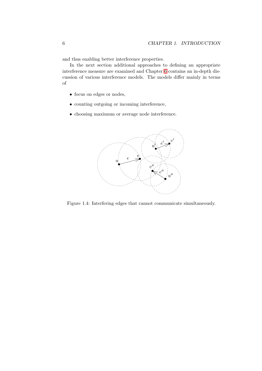<span id="page-15-0"></span>and thus enabling better interference properties.

In the next section additional approaches to defining an appropriate interference measure are examined and Chapter 6 contains an in-depth discussion of various interference models. The models differ mainly in terms of

- focus on edges or nodes,
- counting outgoing or incoming interference,
- choosing maximum or average node interference.



Figure 1.4: Interfering edges that cannot communicate simultaneously.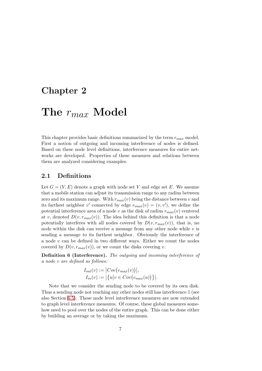### <span id="page-16-0"></span>Chapter 2

## The  $r_{max}$  Model

This chapter provides basic definitions summarized by the term  $r_{max}$  model. First a notion of outgoing and incoming interference of nodes is defined. Based on these node level definitions, interference measures for entire networks are developed. Properties of these measures and relations between them are analyzed considering examples.

#### 2.1 Definitions

Let  $G = (V, E)$  denote a graph with node set V and edge set E. We assume that a mobile station can adjust its transmission range to any radius between zero and its maximum range. With  $r_{max}(v)$  being the distance between v and its farthest neighbor v' connected by edge  $e_{max}(v) = (v, v')$ , we define the potential interference area of a node v as the disk of radius  $r_{max}(v)$  centered at v, denoted  $D(v, r_{max}(v))$ . The idea behind this definition is that a node potentially interferes with all nodes covered by  $D(v, r_{max}(v))$ , that is, no node within the disk can receive a message from any other node while  $v$  is sending a message to its farthest neighbor. Obviously the interference of a node  $v$  can be defined in two different ways. Either we count the nodes covered by  $D(v, r_{max}(v))$ , or we count the disks covering v.

Definition 6 (Interference). The outgoing and incoming interference of a node v are defined as follows:

$$
I_{out}(v) := |Cov(e_{max}(v))|,
$$
  
\n
$$
I_{in}(v) := |\{u|v \in Cov(e_{max}(u))\}|.
$$

Note that we consider the sending node to be covered by its own disk. Thus a sending node not reaching any other nodes still has interference 1 (see also Section 6.5). These node level interference measures are now extended to graph level interference measures. Of course, these global measures somehow need to pool over the nodes of the entire graph. This can be done either by building [an a](#page-51-0)verage or by taking the maximum.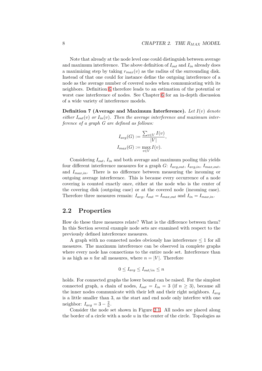<span id="page-17-0"></span>Note that already at the node level one could distinguish between average and maximum interference. The above definition of  $I_{out}$  and  $I_{in}$  already does a maximizing step by taking  $r_{max}(v)$  as the radius of the surrounding disk. Instead of that one could for instance define the outgoing interference of a node as the average number of covered nodes when communicating with its neighbors. Definition 6 therefore leads to an estimation of the potential or worst case interference of nodes. See Chapter 6 for an in-depth discussion of a wide variety of interference models.

Definition 7 (Aver[ag](#page-16-0)e and Maximum Interference). Let  $I(v)$  denote either  $I_{out}(v)$  or  $I_{in}(v)$ . Then the average inter[fe](#page-44-0)rence and maximum interference of a graph G are defined as follows:

$$
I_{avg}(G) := \frac{\sum_{v \in V} I(v)}{|V|},
$$
  

$$
I_{max}(G) := \max_{v \in V} I(v).
$$

Considering  $I_{out}$ ,  $I_{in}$  and both average and maximum pooling this yields four different interference measures for a graph  $G: I_{avg,out}, I_{avg,in}, I_{max,out}$ and  $I_{max,in}$ . There is no difference between measuring the incoming or outgoing average interference. This is because every occurrence of a node covering is counted exactly once, either at the node who is the center of the covering disk (outgoing case) or at the covered node (incoming case). Therefore three measures remain:  $I_{avg}$ ,  $I_{out} = I_{max,out}$  and  $I_{in} = I_{max,in}$ .

#### 2.2 Properties

How do these three measures relate? What is the difference between them? In this Section several example node sets are examined with respect to the previously defined interference measures.

A graph with no connected nodes obviously has interference  $\leq 1$  for all measures. The maximum interference can be observed in complete graphs where every node has connections to the entire node set. Interference than is as high as n for all measures, where  $n = |V|$ . Therefore

$$
0 \le I_{avg} \le I_{out/in} \le n
$$

holds. For connected graphs the lower bound can be raised. For the simplest connected graph, a chain of nodes,  $I_{out} = I_{in} = 3$  (if  $n \ge 3$ ), because all the inner nodes communicate with their left and their right neighbors.  $I_{avg}$ is a little smaller than 3, as the start and end node only interfere with one neighbor:  $I_{avg} = 3 - \frac{2}{n}$  $\frac{2}{n}$ .

Consider the node set shown in Figure 2.1. All nodes are placed along the border of a circle with a node  $u$  in the center of the circle. Topologies as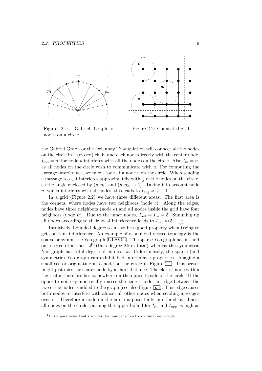<span id="page-18-0"></span>

Figure 2.1: Gabriel Graph of nodes on a circle.

Figure 2.2: Connected grid.

the Gabriel Graph or the Delaunay Triangulation will connect all the nodes on the circle in a (closed) chain and each node directly with the center node.  $I_{out} = n$ , for node u interferes with all the nodes on the circle. Also  $I_{in} = n$ , as all nodes on the circle wish to communicate with  $u$ . For computing the average interference, we take a look at a node  $v$  on the circle. When sending a message to u, it interferes approximately with  $\frac{1}{3}$  of the nodes on the circle, as the angle enclosed by  $(u, p_1)$  and  $(u, p_2)$  is  $\frac{2\pi}{3}$ . Taking into account node u, which interferes with all nodes, this leads to  $I_{avg} \approx \frac{n}{3} + 1$ .

In a grid (Figure 2.2) we have three different areas. The first area is the corners, where nodes have two neighbors (node  $c$ ). Along the edges, nodes have three neighbors (node  $e$ ) and all nodes inside the grid have four neighbors (node *m*). Due to the inner nodes,  $I_{out} = I_{in} = 5$ . Summing up all nodes according to their local interference leads to  $I_{avg} \approx 5 - \frac{4}{\sqrt{6}}$  $\frac{1}{n}$ .

Intuitively, bounded degree seems to be a good property when trying to get constant interference. An example of a bounded degree topology is the sparse or symmetric Yao graph [GLSV02]. The sparse Yao graph has in- and out-degree of at most  $k^1$  (thus degree 2k in total) whereas the symmetric Yao graph has total degree of at most  $k$ . Unfortunately, the sparse (and symmetric) Yao graph can exhibit bad interference properties. Imagine a small sector originating at a n[ode on th](#page-56-0)e circle in Figure 2.1. This sector might just miss the center node by a short distance. The closest node within the sector therefore lies somewhere on the opposite side of the circle. If the opposite node symmetrically misses the center node, an edge between the two circle nodes is added to the graph (see also Figure 5.5). This edge causes both nodes to interfere with almost all other nodes when sending messages over it. Therefore a node on the circle is potentially interfered by almost all nodes on the circle, push[in](#page-41-0)g the upper bound for  $I_{in}$  and  $I_{avg}$  as high as

 $1k$  is a parameter that specifies the number of sectors around each node.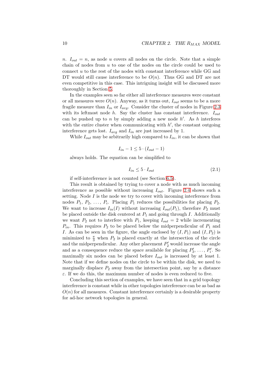n.  $I_{out} = n$ , as node u covers all nodes on the circle. Note that a simple chain of nodes from  $u$  to one of the nodes on the circle could be used to connect u to the rest of the nodes with constant interference while GG and DT would still cause interference to be  $O(n)$ . Thus GG and DT are not even competitive in this case. This intriguing insight will be discussed more thoroughly in Section 5.

In the examples seen so far either all interference measures were constant or all measures were  $O(n)$ . Anyway, as it turns out,  $I_{out}$  seems to be a more fragile measure than  $I_{in}$  or  $I_{avg}$ . Consider the cluster of nodes in Figure 2.3 with its l[e](#page-38-0)ftmost node  $h$ . Say the cluster has constant interference.  $I_{out}$ can be pushed up to n by simply adding a new node  $h'$ . As h interferes with the entire cluster when communicating with  $h'$ , the constant outg[oing](#page-20-0) interference gets lost.  $I_{avg}$  and  $I_{in}$  are just increased by 1.

While  $I_{out}$  may be arbitrarily high compared to  $I_{in}$ , it can be shown that

$$
I_{in} - 1 \le 5 \cdot (I_{out} - 1)
$$

always holds. The equation can be simplified to

$$
I_{in} \leq 5 \cdot I_{out} \tag{2.1}
$$

if self-interference is not counted (see Section 6.5).

This result is obtained by trying to cover a node with as much incoming interference as possible without increasing  $I_{out}$ . Figure 2.4 shows such a setting. Node  $I$  is the node we try to cover with incoming interference from nodes  $P_1, P_2, \ldots, P_i$ . Placing  $P_1$  reduces the p[ossi](#page-51-0)bilities for placing  $P_2$ . We want to increase  $I_{in}(I)$  without increasing  $I_{out}(P_1)$ , therefore  $P_2$  must be placed outside the disk centered at  $P_1$  and going throu[gh](#page-20-0) I. Additionally we want  $P_2$  not to interfere with  $P_1$ , keeping  $I_{out} = 2$  while incrementing  $P_{in}$ . This requires  $P_2$  to be placed below the midperpendicular of  $P_1$  and I. As can be seen in the figure, the angle enclosed by  $(I, P_1)$  and  $(I, P_2)$  is minimized to  $\frac{\pi}{3}$  when  $P_2$  is placed exactly at the intersection of the circle and the midperpendicular. Any other placement  $P'_2$  would increase the angle and as a consequence reduce the space available for placing  $P'_3, \ldots, P'_i$ . So maximally six nodes can be placed before  $I_{out}$  is increased by at least 1. Note that if we define nodes on the circle to be within the disk, we need to marginally displace  $P_2$  away from the intersection point, say by a distance  $\varepsilon$ . If we do this, the maximum number of nodes is even reduced to five.

Concluding this section of examples, we have seen that in a grid topology interference is constant while in other topologies interference can be as bad as  $O(n)$  for all measures. Constant interference certainly is a desirable property for ad-hoc network topologies in general.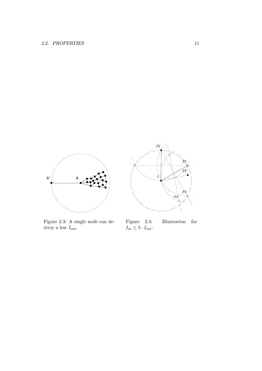<span id="page-20-0"></span>

Figure 2.3: A single node can destroy a low  $I_{out}$ .

 $\;$  Illustration  $\;$  for Figure 2.4:<br> $I_{in} \leq 5 \cdot I_{out}.$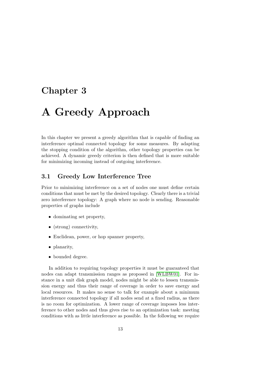### <span id="page-22-0"></span>Chapter 3

## A Greedy Approach

In this chapter we present a greedy algorithm that is capable of finding an interference optimal connected topology for some measures. By adapting the stopping condition of the algorithm, other topology properties can be achieved. A dynamic greedy criterion is then defined that is more suitable for minimizing incoming instead of outgoing interference.

#### 3.1 Greedy Low Interference Tree

Prior to minimizing interference on a set of nodes one must define certain conditions that must be met by the desired topology. Clearly there is a trivial zero interference topology: A graph where no node is sending. Reasonable properties of graphs include

- dominating set property,
- (strong) connectivity,
- Euclidean, power, or hop spanner property,
- planarity,
- bounded degree.

In addition to requiring topology properties it must be guaranteed that nodes can adapt transmission ranges as proposed in [WLBW01]. For instance in a unit disk graph model, nodes might be able to lessen transmission energy and thus their range of coverage in order to save energy and local resources. It makes no sense to talk for example about a minimum interference connected topology if all nodes send at a [fixed radius](#page-57-0), as there is no room for optimization. A lower range of coverage imposes less interference to other nodes and thus gives rise to an optimization task: meeting conditions with as little interference as possible. In the following we require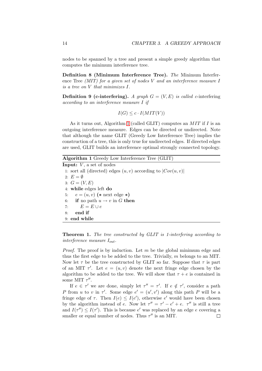<span id="page-23-0"></span>nodes to be spanned by a tree and present a simple greedy algorithm that computes the minimum interference tree.

Definition 8 (Minimum Interference Tree). The Minimum Interference Tree (MIT) for a given set of nodes V and an interference measure I is a tree on V that minimizes I.

**Definition 9 (c-interfering).** A graph  $G = (V, E)$  is called c-interfering according to an interference measure I if

 $I(G) \leq c \cdot I(MIT(V))$ 

As it turns out, Algorithm 1 (called GLIT) computes an  $MIT$  if  $I$  is an outgoing interference measure. Edges can be directed or undirected. Note that although the name GLIT (Greedy Low Interference Tree) implies the construction of a tree, this is only true for undirected edges. If directed edges are used, GLIT builds an interference optimal strongly connected topology.

Algorithm 1 Greedy Low Interference Tree (GLIT)

**Input:**  $V$ , a set of nodes 1: sort all (directed) edges  $(u, v)$  according to  $|Cov(u, v)|$ 2:  $E = \emptyset$ 3:  $G = (V, E)$ 4: while edges left do 5:  $e = (u, v)$  (\* next edge \*) 6: if no path  $u \to v$  in G then 7:  $E = E \cup e$ 8: end if 9: end while

**Theorem 1.** The tree constructed by GLIT is 1-interfering according to interference measure  $I_{out}$ .

*Proof.* The proof is by induction. Let  $m$  be the global minimum edge and thus the first edge to be added to the tree. Trivially, m belongs to an MIT. Now let  $\tau$  be the tree constructed by GLIT so far. Suppose that  $\tau$  is part of an MIT  $\tau'$ . Let  $e = (u, v)$  denote the next fringe edge chosen by the algorithm to be added to the tree. We will show that  $\tau + e$  is contained in some MIT  $\tau''$ .

If  $e \in \tau'$  we are done, simply let  $\tau'' = \tau'$ . If  $e \notin \tau'$ , consider a path P from u to v in  $\tau'$ . Some edge  $e' = (u', v')$  along this path P will be a fringe edge of  $\tau$ . Then  $I(e) \leq I(e')$ , otherwise e' would have been chosen by the algorithm instead of e. Now let  $\tau'' = \tau' - e' + e$ .  $\tau''$  is still a tree and  $I(\tau'') \leq I(\tau')$ . This is because e' was replaced by an edge e covering a smaller or equal number of nodes. Thus  $\tau''$  is an MIT.  $\Box$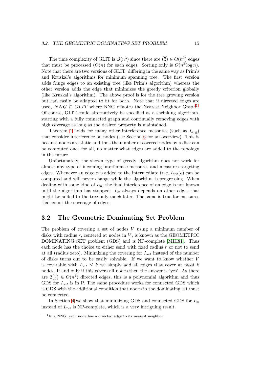<span id="page-24-0"></span>The time complexity of GLIT is  $O(n^3)$  since there are  $\binom{n}{2}$ 2 ¢  $\in O(n^2)$  edges that must be processed  $(O(n)$  for each edge). Sorting only is  $O(n^2 \log n)$ . Note that there are two versions of GLIT, differing in the same way as Prim's and Kruskal's algorithms for minimum spanning tree. The first version adds fringe edges to an existing tree (like Prim's algorithm) whereas the other version adds the edge that minimizes the greedy criterion globally (like Kruskal's algorithm). The above proof is for the tree growing version but can easily be adapted to fit for both. Note that if directed edges are used,  $NNG \subseteq GLIT$  where NNG denotes the Nearest Neighbor Graph<sup>1</sup>. Of course, GLIT could alternatively be specified as a shrinking algorithm, starting with a fully connected graph and continually removing edges with high coverage as long as the desired property is maintained.

Theorem 1 holds for many other interference measures (such as  $I_{avg}$ ) that consider interference on nodes (see Section 6 for an overview). This is because nodes are static and thus the number of covered nodes by a disk can be computed [on](#page-23-0)ce for all, no matter what edges are added to the topology in the future.

Unfortunately, the shown type of greedy al[go](#page-44-0)rithm does not work for almost any type of incoming interference measures and measures targeting edges. Whenever an edge e is added to the intermediate tree,  $I_{out}(e)$  can be computed and will never change while the algorithm is progressing. When dealing with some kind of  $I_{in}$ , the final interference of an edge is not known until the algorithm has stopped.  $I_{in}$  always depends on other edges that might be added to the tree only much later. The same is true for measures that count the coverage of edges.

#### 3.2 The Geometric Dominating Set Problem

The problem of covering a set of nodes V using a minimum number of disks with radius  $r$ , centered at nodes in  $V$ , is known as the GEOMETRIC DOMINATING SET problem (GDS) and is NP-complete [MIH81]. Thus each node has the choice to either send with fixed radius  $r$  or not to send at all (radius zero). Minimizing the covering for  $I_{out}$  instead of the number of disks turns out to be easily solvable. If we want to know whether V is coverable with  $I_{out} \leq k$  we simply add all edges that c[over at](#page-57-0) most k nodes. If and only if this covers all nodes then the answer is 'yes'. As there noues.<br>are  $2\binom{n}{2}$  $\binom{n}{2} \in O(n^2)$  directed edges, this is a polynomial algorithm and thus GDS for  $I_{out}$  is in P. The same procedure works for connected GDS which is GDS with the additional condition that nodes in the dominating set must be connected.

In Section 4 we show that minimizing GDS and connected GDS for  $I_{in}$ instead of  $I_{out}$  is NP-complete, which is a very intriguing result.

<sup>&</sup>lt;sup>1</sup>In a NNG, each node has a directed edge to its nearest neighbor.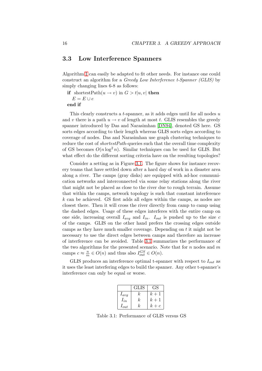#### <span id="page-25-0"></span>3.3 Low Interference Spanners

Algorithm 1 can easily be adapted to fit other needs. For instance one could construct an algorithm for a Greedy Low Interference t-Spanner (GLIS) by simply changing lines 6-8 as follows:

if short[es](#page-23-0)tPath $(u \to v)$  in  $G > t | u, v |$  then  $E = E \cup e$ end if

This clearly constructs a t-spanner, as it adds edges until for all nodes u and v there is a path  $u \to v$  of length at most t. GLIS resembles the greedy spanner introduced by Das and Narasimhan [DN94], denoted GS here. GS sorts edges according to their length whereas GLIS sorts edges according to coverage of nodes. Das and Narasimhan use graph clustering techniques to reduce the cost of *shortestPath*-queries such that the overall time complexity of GS becomes  $O(n \log^2 n)$ . Similar techniqu[es can](#page-56-0) be used for GLIS. But what effect do the different sorting criteria have on the resulting topologies?

Consider a setting as in Figure 3.1. The figure shows for instance recovery teams that have settled down after a hard day of work in a disaster area along a river. The camps (gray disks) are equipped with ad-hoc communication networks and interconnected via some relay stations along the river that might not be placed as close t[o th](#page-26-0)e river due to rough terrain. Assume that within the camps, network topology is such that constant interference k can be achieved. GS first adds all edges within the camps, as nodes are closest there. Then it will cross the river directly from camp to camp using the dashed edges. Usage of these edges interferes with the entire camp on one side, increasing overall  $I_{avg}$  and  $I_{in}$ .  $I_{out}$  is pushed up to the size c of the camps. GLIS on the other hand prefers the crossing edges outside camps as they have much smaller coverage. Depending on  $t$  it might not be necessary to use the direct edges between camps and therefore an increase of interference can be avoided. Table 3.1 summarizes the performance of the two algorithms for the presented scenario. Note that for  $n$  nodes and  $m$ camps  $c \approx \frac{n}{m}$  $\frac{n}{m} \in O(n)$  and thus also  $I_{out}^{GS} \in O(n)$ .

GLIS produces an interference optimal t-spanner with respect to  $I_{out}$  as it uses the least interfering edges to build the spanner. Any other t-spanner's interference can only be equal or worse.

|           | GLIS |       |
|-----------|------|-------|
| $I_{avg}$ | k.   | $k+1$ |
| $I_{in}$  | k    | $k+1$ |
| $I_{out}$ | k.   | $k+c$ |

Table 3.1: Performance of GLIS versus GS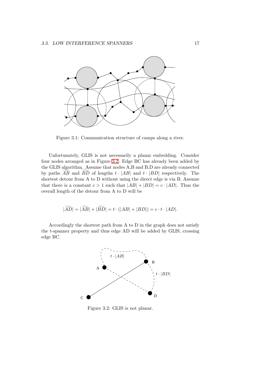<span id="page-26-0"></span>

Figure 3.1: Communication structure of camps along a river.

Unfortunately, GLIS is not necessarily a planar embedding. Consider four nodes arranged as in Figure 3.2. Edge BC has already been added by the GLIS algorithm. Assume that nodes A,B and B,D are already connected by paths AB and BD of lengths  $t \cdot |AB|$  and  $t \cdot |BD|$  respectively. The shortest detour from A to D without using the direct edge is via B. Assume that there is a constant  $c > 1$  such that  $|AB| + |BD| = c \cdot |AD|$ . Thus the overall length of the detour from A to D will be

$$
|\widetilde{AD}| = |\widetilde{AB}| + |\widetilde{BD}| = t \cdot (|AB| + |BD|) = c \cdot t \cdot |AD|.
$$

Accordingly the shortest path from A to D in the graph does not satisfy the t-spanner property and thus edge AD will be added by GLIS, crossing edge BC.



Figure 3.2: GLIS is not planar.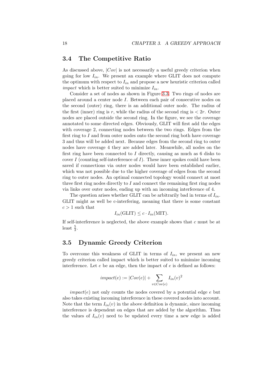#### <span id="page-27-0"></span>3.4 The Competitive Ratio

As discussed above,  $|Cov|$  is not necessarily a useful greedy criterion when going for low  $I_{in}$ . We present an example where GLIT does not compute the optimum with respect to  $I_{in}$  and propose a new heuristic criterion called *impact* which is better suited to minimize  $I_{in}$ .

Consider a set of nodes as shown in Figure 3.3. Two rings of nodes are placed around a center node I. Between each pair of consecutive nodes on the second (outer) ring, there is an additional outer node. The radius of the first (inner) ring is r, while the radius of the second ring is  $\langle 2r. \text{ Outer} \rangle$ nodes are placed outside the second ring. In th[e fig](#page-28-0)ure, we see the coverage annotated to some directed edges. Obviously, GLIT will first add the edges with coverage 2, connecting nodes between the two rings. Edges from the first ring to  $I$  and from outer nodes onto the second ring both have coverage 3 and thus will be added next. Because edges from the second ring to outer nodes have coverage 4 they are added later. Meanwhile, all nodes on the first ring have been connected to  $I$  directly, causing as much as 6 disks to cover  $I$  (counting self-interference of  $I$ ). These inner spokes could have been saved if connections via outer nodes would have been established earlier, which was not possible due to the higher coverage of edges from the second ring to outer nodes. An optimal connected topology would connect at most three first ring nodes directly to I and connect the remaining first ring nodes via links over outer nodes, ending up with an incoming interference of 4.

The question arises whether GLIT can be arbitrarily bad in terms of  $I_{in}$ . GLIT might as well be c-interfering, meaning that there is some constant  $c > 1$  such that

$$
I_{in}(\text{GLIT}) \leq c \cdot I_{in}(\text{MIT}).
$$

If self-interference is neglected, the above example shows that c must be at least  $\frac{5}{3}$ .

#### 3.5 Dynamic Greedy Criterion

To overcome this weakness of GLIT in terms of  $I_{in}$ , we present an new greedy criterion called impact which is better suited to minimize incoming interference. Let  $e$  be an edge, then the impact of  $e$  is defined as follows:

$$
impact(e) := |Cov(e)| + \sum_{v \in Cov(e)} I_{in}(v)^2
$$

 $impact(e)$  not only counts the nodes covered by a potential edge e but also takes existing incoming interference in these covered nodes into account. Note that the term  $I_{in}(v)$  in the above definition is dynamic, since incoming interference is dependent on edges that are added by the algorithm. Thus the values of  $I_{in}(v)$  need to be updated every time a new edge is added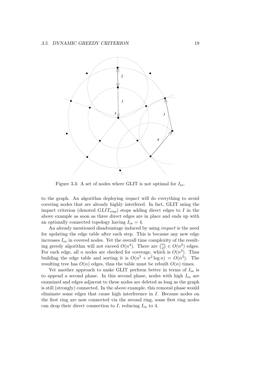<span id="page-28-0"></span>

Figure 3.3: A set of nodes where GLIT is not optimal for  $I_{in}$ .

to the graph. An algorithm deploying impact will do everything to avoid covering nodes that are already highly interfered. In fact, GLIT using the impact criterion (denoted  $GLIT_{imp}$ ) stops adding direct edges to I in the above example as soon as three direct edges are in place and ends up with an optimally connected topology having  $I_{in} = 4$ .

An already mentioned disadvantage induced by using impact is the need for updating the edge table after each step. This is because any new edge increases  $I_{in}$  in covered nodes. Yet the overall time complexity of the resultincreases  $I_{in}$  in covered nodes. The the overall time completion is approximately algorithm will not exceed  $O(n^4)$ . There are  $\binom{n}{2}$  ${n \choose 2} \in O(n^2)$  edges. For each edge, all n nodes are checked for coverage, which is  $O(n^3)$ . Thus building the edge table and sorting it is  $O(n^3 + n^2 \log n) = O(n^3)$ . The resulting tree has  $O(n)$  edges, thus the table must be rebuilt  $O(n)$  times.

Yet another approach to make GLIT perform better in terms of  $I_{in}$  is to append a second phase. In this second phase, nodes with high  $I_{in}$  are examined and edges adjacent to these nodes are deleted as long as the graph is still (strongly) connected. In the above example, this removal phase would eliminate some edges that cause high interference in I. Because nodes on the first ring are now connected via the second ring, some first ring nodes can drop their direct connection to I, reducing  $I_{in}$  to 4.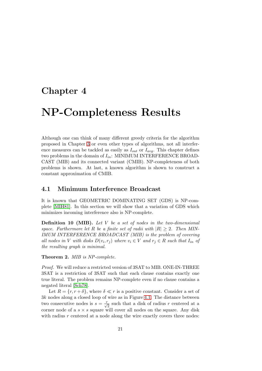### <span id="page-30-0"></span>Chapter 4

## NP-Completeness Results

Although one can think of many different greedy criteria for the algorithm proposed in Chapter 3 or even other types of algorithms, not all interference measures can be tackled as easily as  $I_{out}$  or  $I_{avg}$ . This chapter defines two problems in the domain of  $I_{in}$ : MINIMUM INTERFERENCE BROAD-CAST (MIB) and its connected variant (CMIB). NP-completeness of both problems is shown. [At](#page-22-0) last, a known algorithm is shown to construct a constant approximation of CMIB.

#### 4.1 Minimum Interference Broadcast

It is known that GEOMETRIC DOMINATING SET (GDS) is NP-complete [MIH81]. In this section we will show that a variation of GDS which minimizes incoming interference also is NP-complete.

**Definition 10 (MIB).** Let  $V$  be a set of nodes in the two-dimensional space. [Furthe](#page-57-0)rmore let R be a finite set of radii with  $|R| \geq 2$ . Then MIN-IMUM INTERFERENCE BROADCAST (MIB) is the problem of covering all nodes in V with disks  $D(v_i, r_j)$  where  $v_i \in V$  and  $r_j \in R$  such that  $I_{in}$  of the resulting graph is minimal.

Theorem 2. MIB is NP-complete.

Proof. We will reduce a restricted version of 3SAT to MIB. ONE-IN-THREE 3SAT is a restriction of 3SAT such that each clause contains exactly one true literal. The problem remains NP-complete even if no clause contains a negated literal [Sch78].

Let  $R = \{r, r + \delta\}$ , where  $\delta \ll r$  is a positive constant. Consider a set of 3k nodes along a closed loop of wire as in Figure 4.1. The distance between two consecutiv[e nodes](#page-57-0) is  $s = \frac{r}{\sqrt{2}}$  such that a disk of radius r centered at a corner node of a  $s \times s$  square will cover all nodes on the square. Any disk with radius  $r$  centered at a node along the wire [exac](#page-31-0)tly covers three nodes: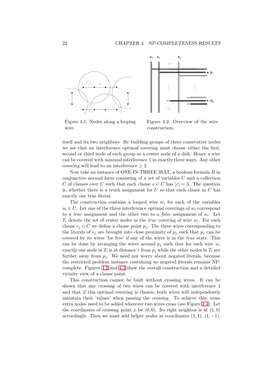<span id="page-31-0"></span>



Figure 4.1: Nodes along a looping wire.

Figure 4.2: Overview of the wire construction.

itself and its two neighbors. By building groups of three consecutive nodes we see that an interference optimal covering must choose either the first, second or third node of each group as a center node of a disk. Hence a wire can be covered with minimal interference 1 in exactly three ways. Any other covering will lead to an interference  $\geq 2$ .

Now take an instance of ONE-IN-THREE 3SAT, a boolean formula B in conjunctive normal form consisting of a set of variables  $U$  and a collection C of clauses over U such that each clause  $c \in C$  has  $|c| = 3$ . The question is, whether there is a truth assignment for  $U$  so that each clause in  $C$  has exactly one true literal.

The construction contains a looped wire  $w_i$  for each of the variables  $u_i \in U$ . Let one of the three interference optimal coverings of  $w_i$  correspond to a *true* assignment and the other two to a *false* assignment of  $u_i$ . Let  $T_i$  denote the set of center nodes in the *true* covering of wire  $w_i$ . For each clause  $c_i \in C$  we define a clause point  $p_i$ . The three wires corresponding to the literals of  $c_i$  are brought into close proximity of  $p_i$  such that  $p_i$  can be covered by its wires 'for free' if any of the wires is in the true state. This can be done by arranging the wires around  $p_j$  such that for each wire  $w_i$ exactly one node in  $T_i$  is at distance r from  $p_j$  while the other nodes in  $T_i$  are further away from  $p_j$ . We need not worry about negated literals, because the restricted problem instance containing no negated literals remains NPcomplete. Figures 4.2 and 4.3 show the overall construction and a detailed vicinity view of a clause point.

This construction cannot be built without crossing wires. It can be shown that any crossing of two wires can be covered with interference 1 and that if this optimal c[over](#page-32-0)ing is chosen, both wires will independently maintain their 'values' when passing the crossing. To achieve this, some extra nodes need to be added wherever two wires cross (see Figure 4.4). Let the coordinates of crossing point x be  $(0,0)$ . Its right neighbor is at  $(1,0)$ accordingly. Then we must add helper nodes at coordinates  $(1, 1), (1, -1),$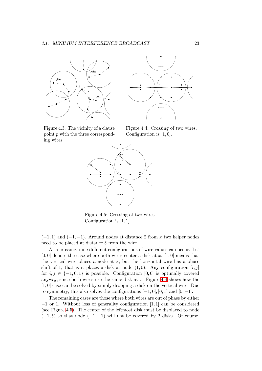<span id="page-32-0"></span>



Figure 4.3: The vicinity of a clause point p with the three corresponding wires.

Figure 4.4: Crossing of two wires. Configuration is  $[1, 0]$ .



Figure 4.5: Crossing of two wires. Configuration is  $[1, 1]$ .

 $(-1, 1)$  and  $(-1, -1)$ . Around nodes at distance 2 from x two helper nodes need to be placed at distance  $\delta$  from the wire.

At a crossing, nine different configurations of wire values can occur. Let  $[0, 0]$  denote the case where both wires center a disk at x.  $[1, 0]$  means that the vertical wire places a node at  $x$ , but the horizontal wire has a phase shift of 1, that is it places a disk at node  $(1, 0)$ . Any configuration  $[i, j]$ for  $i, j \in \{-1, 0, 1\}$  is possible. Configuration [0,0] is optimally covered anyway, since both wires use the same disk at  $x$ . Figure 4.4 shows how the [1, 0] case can be solved by simply dropping a disk on the vertical wire. Due to symmetry, this also solves the configurations  $[-1, 0]$ ,  $[0, 1]$  and  $[0, -1]$ .

The remaining cases are those where both wires are out of phase by either −1 or 1. Without loss of generality configuration [1, 1] can be considered (see Figure 4.5). The center of the leftmost disk must be displaced to node  $(-1, \delta)$  so that node  $(-1, -1)$  will not be covered by 2 disks. Of course,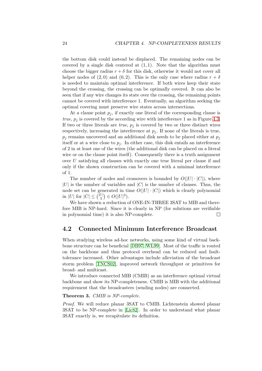<span id="page-33-0"></span>the bottom disk could instead be displaced. The remaining nodes can be covered by a single disk centered at  $(1, 1)$ . Note that the algorithm must choose the bigger radius  $r + \delta$  for this disk, otherwise it would not cover all helper nodes of (2,0) and (0,2). This is the only case where radius  $r + \delta$ is needed to maintain optimal interference. If both wires keep their state beyond the crossing, the crossing can be optimally covered. It can also be seen that if any wire changes its state over the crossing, the remaining points cannot be covered with interference 1. Eventually, an algorithm seeking the optimal covering must preserve wire states across intersections.

At a clause point  $p_i$ , if exactly one literal of the corresponding clause is true,  $p_i$  is covered by the according wire with interference 1 as in Figure 4.3. If two or three literals are *true*,  $p_j$  is covered by two or three distinct wires respectively, increasing the interference at  $p_i$ . If none of the literals is true,  $p_i$  remains uncovered and an additional disk needs to be placed either at  $p_i$ itself or at a wire close to  $p_i$ . In either case, this disk entails an interfer[ence](#page-32-0) of 2 in at least one of the wires (the additional disk can be placed on a literal wire or on the clause point itself). Consequently there is a truth assignment over U satisfying all clauses with exactly one true literal per clause if and only if the shown construction can be covered with a minimal interference of 1.

The number of nodes and crossovers is bounded by  $O(|U| \cdot |C|)$ , where  $|U|$  is the number of variables and  $|C|$  is the number of clauses. Thus, the node set can be generated in time  $O(|U| \cdot |C|)$  which is clearly polynomial in |U| for  $|C| \leq \binom{|U|}{3}$  $_{3}^{U|}\)in O(|U|^{3}).$ 

We have shown a reduction of ONE-IN-THREE 3SAT to MIB and therefore MIB is NP-hard. Since it is clearly in NP (for solutions are verifiable in polynomial time) it is also NP-complete.  $\Box$ 

#### 4.2 Connected Minimum Interference Broadcast

When studying wireless ad-hoc networks, using some kind of virtual backbone structure can be beneficial [DB97, WL99]. Most of the traffic is routed on the backbone and thus protocol overhead can be reduced and faulttolerance increased. Other advantages include alleviation of the broadcast storm problem [TNCS02], impr[oved n](#page-56-0)[etwork](#page-57-0) throughput or primitives for broad- and multicast.

We introduce connected MIB (CMIB) as an interference optimal virtual backbone and show its NP-completeness. CMIB is MIB with the additional requirement tha[t the broa](#page-57-0)dcasters (sending nodes) are connected.

#### Theorem 3. CMIB is NP-complete.

Proof. We will reduce planar 3SAT to CMIB. Lichtenstein showed planar 3SAT to be NP-complete in [Lic82]. In order to understand what planar 3SAT exactly is, we recapitulate its definition.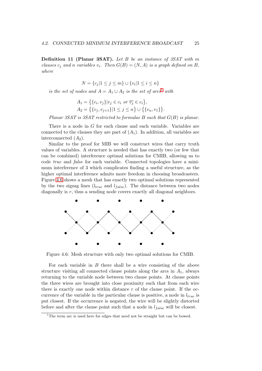<span id="page-34-0"></span>**Definition 11 (Planar 3SAT).** Let B be an instance of 3SAT with m clauses  $c_i$  and n variables  $v_i$ . Then  $G(B) = (N, A)$  is a graph defined on B, where

$$
N = \{c_j | 1 \le j \le m\} \cup \{v_i | 1 \le i \le n\}
$$

is the set of nodes and  $A = A_1 \cup A_2$  is the set of arcs<sup>1</sup> with

$$
A_1 = \{ \{c_i, v_j\} | v_j \in c_i \text{ or } \overline{v_j} \in c_i \},
$$
  
\n
$$
A_2 = \{ \{v_j, v_{j+1}\} | 1 \le j \le n \} \cup \{ \{v_n, v_1\} \}.
$$

Planar 3SAT is 3SAT restricted to formulae B such that  $G(B)$  is planar.

There is a node in G for each clause and each variable. Variables are connected to the clauses they are part of  $(A_1)$ . In addition, all variables are interconnected  $(A_2)$ .

Similar to the proof for MIB we will construct wires that carry truth values of variables. A structure is needed that has exactly two (or few that can be combined) interference optimal solutions for CMIB, allowing us to code true and false for each variable. Connected topologies have a minimum interference of 3 which complicates finding a useful structure, as the higher optimal interference admits more freedom in choosing broadcasters. Figure 4.6 shows a mesh that has exactly two optimal solutions represented by the two zigzag lines  $(l_{true}$  and  $l_{false}$ ). The distance between two nodes diagonally is r, thus a sending node covers exactly all diagonal neighbors.



Figure 4.6: Mesh structure with only two optimal solutions for CMIB.

For each variable in  $B$  there shall be a wire consisting of the above structure visiting all connected clause points along the arcs in  $A_1$ , always returning to the variable node between two clause points. At clause points the three wires are brought into close proximity such that from each wire there is exactly one node within distance  $r$  of the clause point. If the occurrence of the variable in the particular clause is positive, a node in  $l_{true}$  is put closest. If the occurrence is negated, the wire will be slightly distorted before and after the clause point such that a node in  $l_{false}$  will be closest.

<sup>&</sup>lt;sup>1</sup>The term arc is used here for edges that need not be straight but can be bowed.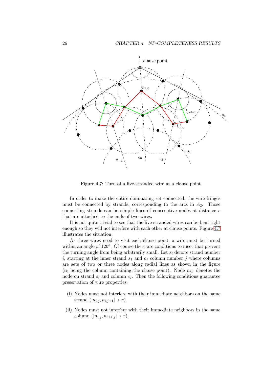<span id="page-35-0"></span>

Figure 4.7: Turn of a five-stranded wire at a clause point.

In order to make the entire dominating set connected, the wire fringes must be connected by strands, corresponding to the arcs in  $A_2$ . Those connecting strands can be simple lines of consecutive nodes at distance r that are attached to the ends of two wires.

It is not quite trivial to see that the five-stranded wires can be bent tight enough so they will not interfere with each other at clause points. Figure 4.7 illustrates the situation.

As three wires need to visit each clause point, a wire must be turned within an angle of 120°. Of course there are conditions to meet that prevent the turning angle from being arbitrarily small. Let  $s_i$  denote strand number i, starting at the inner strand  $s_1$  and  $c_j$  column number j where columns are sets of two or three nodes along radial lines as shown in the figure  $(c_0$  being the column containing the clause point). Node  $n_{i,j}$  denotes the node on strand  $s_i$  and column  $c_j$ . Then the following conditions guarantee preservation of wire properties:

- (i) Nodes must not interfere with their immediate neighbors on the same strand  $(|n_{i,j}, n_{i,j\pm 1}| > r)$ .
- (ii) Nodes must not interfere with their immediate neighbors in the same column  $(|n_{i,j}, n_{i\pm 1,j}| > r)$ .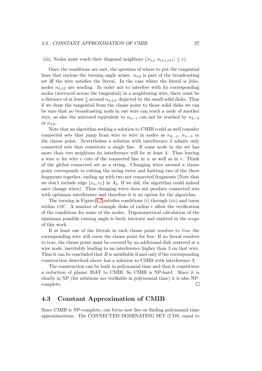#### <span id="page-36-0"></span>(iii) Nodes must reach their diagonal neighbors  $(|n_{i,j}, n_{i+1,j+1}| \leq r)$ .

Once the conditions are met, the question of where to put the tangential lines that enclose the turning angle arises.  $n_{4,0}$  is part of the broadcasting set iff the wire satisfies the literal. In the case where the literal is false, nodes  $n_{4,\pm 2}$  are sending. In order not to interfere with its corresponding nodes (mirrored across the tangential) in a neighboring wire, there must be a distance of at least  $\frac{r}{2}$  around  $n_{4,\pm 2}$ , depicted by the small solid disks. Thus if we draw the tangential from the clause point to those solid disks we can be sure that no broadcasting node in one wire can reach a node of another wire, as also the mirrored equivalent to  $n_{4,-1}$  can not be reached by  $n_{4,-2}$ or  $n_{4,0}$ .

Note that an algorithm seeking a solution to CMIB could as well consider connected sets that jump from wire to wire in nodes as  $n_{4,-1}$ ,  $n_{4,-3}$  or the clause point. Nevertheless a solution with interference 3 admits only connected sets that constitute a single line. If some node in the set has more than two neighbors its interference will be at least 4. Thus leaving a wire w for wire v cuts of the connected line in w as well as in v. Think of the global connected set as a string. Changing wires around a clause point corresponds to cutting the string twice and knitting two of the three fragments together, ending up with two not connected fragments (Note that we don't include edge  $\{v_n, v_1\}$  in  $A_2$ . If we did, the algorithm could indeed once change wires). Thus changing wires does not produce connected sets with optimum interference and therefore it is no option for the algorithm.

The turning in Figure 4.7 satisfies conditions  $(i)$  through  $(iii)$  and turns within 118 $^{\circ}$ . A number of example disks of radius r allow the verification of the conditions for some of the nodes. Trigonometrical calculation of the minimum possible turnin[g an](#page-35-0)gle is fairly intricate and omitted in the scope of this work.

If at least one of the literals in each clause point resolves to true the corresponding wire will cover the clause point for free. If no literal resolves to true, the clause point must be covered by an additional disk centered at a wire node, inevitably leading to an interference higher than 3 on that wire. Thus it can be concluded that  $B$  is satisfiable if and only if the corresponding construction described above has a solution to CMIB with interference 3.

The construction can be built in polynomial time and thus it constitutes a reduction of planar 3SAT to CMIB. So CMIB is NP-hard. Since it is clearly in NP (for solutions are verifiable in polynomial time) it is also NPcomplete.  $\Box$ 

#### 4.3 Constant Approximation of CMIB

Since CMIB is NP-complete, our focus now lies on finding polynomial time approximations. The CONNECTED DOMINATING SET (CDS, equal to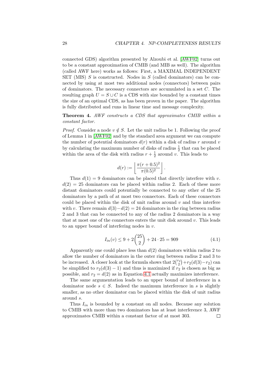connected GDS) algorithm presented by Alzoubi et al. [AWF02] turns out to be a constant approximation of CMIB (and MIB as well). The algorithm (called AWF here) works as follows: First, a MAXIMAL INDEPENDENT SET (MIS) S is constructed. Nodes in S (called dominators) can be connected by using at most two additional nodes (connec[tors\) bet](#page-56-0)ween pairs of dominators. The necessary connectors are accumulated in a set C. The resulting graph  $U = S \cup C$  is a CDS with size bounded by a constant times the size of an optimal CDS, as has been proven in the paper. The algorithm is fully distributed and runs in linear time and message complexity.

#### Theorem 4. AWF constructs a CDS that approximates CMIB within a constant factor.

*Proof.* Consider a node  $v \notin S$ . Let the unit radius be 1. Following the proof of Lemma 1 in [AWF02] and by the standard area argument we can compute the number of potential dominators  $d(r)$  within a disk of radius r around v by calculating the maximum number of disks of radius  $\frac{1}{2}$  that can be placed within the are[a of the d](#page-56-0)isk with radius  $r + \frac{1}{2}$  $\frac{1}{2}$  around v. This leads to

$$
d(r) := \left\lfloor \frac{\pi (r + 0.5)^2}{\pi (0.5)^2} \right\rfloor.
$$

Thus  $d(1) = 9$  dominators can be placed that directly interfere with v.  $d(2) = 25$  dominators can be placed within radius 2. Each of these more distant dominators could potentially be connected to any other of the 25 dominators by a path of at most two connectors. Each of these connectors could be placed within the disk of unit radius around  $v$  and thus interfere with v. There remain  $d(3)-d(2)=24$  dominators in the ring between radius 2 and 3 that can be connected to any of the radius 2 dominators in a way that at most one of the connectors enters the unit disk around v. This leads to an upper bound of interfering nodes in v.

$$
I_{in}(v) \le 9 + 2\binom{25}{2} + 24 \cdot 25 = 909\tag{4.1}
$$

Apparently one could place less than  $d(2)$  dominators within radius 2 to allow the number of dominators in the outer ring between radius 2 and 3 to ahow the number of dominators in the outer ring between radius 2 and 3 to<br>be increased. A closer look at the formula shows that  $2\binom{r_2}{2}+r_2(d(3)-r_2)$  can be simplified to  $r_2(d(3) - 1)$  and thus is maximized if  $r_2$  is chosen as big as possible, and  $r_2 = d(2)$  as in Equation 4.1 actually maximizes interference.

The same argumentation leads to an upper bound of interference in a dominator node  $s \in S$ . Indeed the maximum interference in s is slightly smaller, as no other dominator can be placed within the disk of unit radius around s.

Thus  $I_{in}$  is bounded by a constant on all nodes. Because any solution to CMIB with more than two dominators has at least interference 3, AWF approximates CMIB within a constant factor of at most 303. $\Box$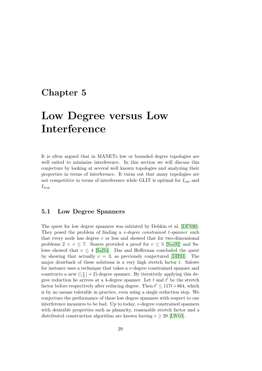### <span id="page-38-0"></span>Chapter 5

## Low Degree versus Low Interference

It is often argued that in MANETs low or bounded degree topologies are well suited to minimize interference. In this section we will discuss this conjecture by looking at several well known topologies and analyzing their properties in terms of interference. It turns out that many topologies are not competitive in terms of interference while GLIT is optimal for  $I_{out}$  and  $I_{avg}.$ 

#### 5.1 Low Degree Spanners

The quest for low degree spanners was initiated by Dobkin et al. [DFS90]. They posed the problem of finding a *v*-degree constrained *t*-spanner such that every node has degree  $v$  or less and showed that for two-dimensional problems  $2 < v \le 7$ . Soares provided a proof for  $v \le 5$  [Soa92] and Salowe showed that  $v \leq 4$  [Sal94]. Das and Heffernan concluded t[he ques](#page-56-0)t by showing that actually  $v = 3$ , as previously conjectured [DH93]. The major drawback of these solutions is a very high stretch factor  $t$ . Salowe for instance uses a technique that takes a v-degree constrai[ned spa](#page-57-0)nner and constructs a new  $\left(\frac{v}{2}\right)$  $\frac{v}{2}$  + 2[\)-degre](#page-57-0)e spanner. By iteratively applying this degree reduction he arrives at a 4-degree spanner. Let  $t$  and  $t'$  [be the](#page-56-0) stretch factor before respectively after reducing degree. Then  $t' \le 117t + 864$ , which is by no means tolerable in practice, even using a single reduction step. We conjecture the performance of these low degree spanners with respect to our interference measures to be bad. Up to today,  $v$ -degree constrained spanners with desirable properties such as planarity, reasonable stretch factor and a distributed construction algorithm are known having  $v \geq 20$  [LW03].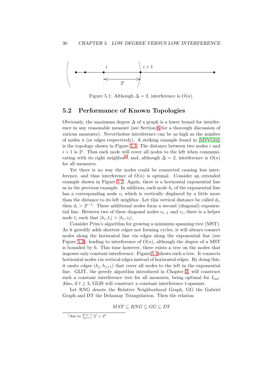<span id="page-39-0"></span>

Figure 5.1: Although  $\Delta = 2$ , interference is  $O(n)$ .

#### 5.2 Performance of Known Topologies

Obviously, the maximum degree  $\Delta$  of a graph is a lower bound for interference in any reasonable measure (see Section 6 for a thorough discussion of various measures). Nevertheless interference can be as high as the number of nodes  $n$  (or edges respectively). A striking example found in [MSVG02] is the topology shown in Figure 5.1. The distance between two nodes  $i$  and  $i + 1$  is  $2<sup>i</sup>$ . Thus each no[de](#page-44-0) will cover all nodes to the left when communicating with its right neighbor<sup>1</sup>, and, although  $\Delta = 2$ , interferen[ce is](#page-57-0)  $O(n)$ for all measures.

Yet there is no way the nodes could be connected causing less interference, and thus interference of  $O(n)$  is optimal. Consider an extended example shown in Figure 5.2. Again, there is a horizontal exponential line as in the previous example. In addition, each node  $h_i$  of the exponential line has a corresponding node  $v_i$  which is vertically displaced by a little more than the distance to its left neighbor. Let this vertical distance be called  $d_i$ , then  $d_i > 2^{i-1}$ . These ad[ditio](#page-40-0)nal nodes form a second (diagonal) exponential line. Between two of these diagonal nodes  $v_{i-1}$  and  $v_i$ , there is a helper node  $t_i$  such that  $|h_i, t_i| > |h_i, v_i|$ .

Consider Prim's algorithm for growing a minimum spanning tree (MST). As it greedily adds shortest edges not forming cycles, it will always connect nodes along the horizontal line via edges along the exponential line (see Figure 5.3), leading to interference of  $O(n)$ , although the degree of a MST is bounded by 6. This time however, there exists a tree on the nodes that imposes only constant interference. Figure 5.4 shows such a tree. It connects horizontal nodes via vertical edges instead of horizontal edges. By doing this, it omit[s ed](#page-40-0)ges  $(h_j, h_{j+1})$  that cover all nodes to the left in the exponential line. GLIT, the greedy algorithm introduced in Chapter 3, will construct such a constant interference tree for all [meas](#page-40-0)ures, being optimal for  $I_{out}$ . Also, if  $t \geq 3$ , GLIS will construct a constant interference t-spanner.

Let RNG denote the Relative Neighborhood Graph, GG the Gabriel Graph and DT the Delaunay Triangulation. Then the rel[ati](#page-22-0)on

$$
MST \subseteq RNG \subseteq GG \subseteq DT
$$

<sup>&</sup>lt;sup>1</sup>due to  $\sum_{i=1}^{n-1} 2^i < 2^n$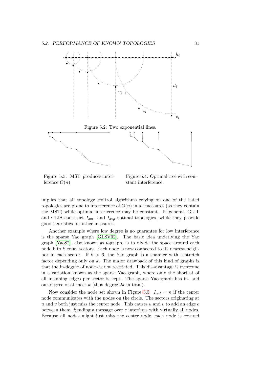<span id="page-40-0"></span>

Figure 5.3: MST produces interference  $O(n)$ .

Figure 5.4: Optimal tree with constant interference.

implies that all topology control algorithms relying on one of the listed topologies are prone to interference of  $O(n)$  in all measures (as they contain the MST) while optimal interference may be constant. In general, GLIT and GLIS construct  $I_{out}$ - and  $I_{avg}$ -optimal topologies, while they provide good heuristics for other measures.

Another example where low degree is no guarantee for low interference is the sparse Yao graph [GLSV02]. The basic idea underlying the Yao graph [Yao82], also known as  $\theta$ -graph, is to divide the space around each node into  $k$  equal sectors. Each node is now connected to its nearest neighbor in each sector. If  $k > 6$ , the Yao graph is a spanner with a stretch factor depending only on k[. The m](#page-56-0)ajor drawback of this kind of graphs is that th[e in-de](#page-57-0)gree of nodes is not restricted. This disadvantage is overcome in a variation known as the sparse Yao graph, where only the shortest of all incoming edges per sector is kept. The sparse Yao graph has in- and out-degree of at most  $k$  (thus degree  $2k$  in total).

Now consider the node set shown in Figure 5.5.  $I_{out} = n$  if the center node communicates with the nodes on the circle. The sectors originating at u and v both just miss the center node. This causes u and v to add an edge  $e$ between them. Sending a message over e interferes with virtually all nodes. Because all nodes might just miss the center [node](#page-41-0), each node is covered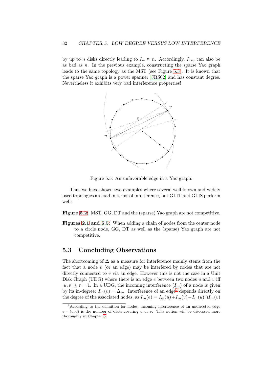<span id="page-41-0"></span>by up to n disks directly leading to  $I_{in} \approx n$ . Accordingly,  $I_{avg}$  can also be as bad as  $n$ . In the previous example, constructing the sparse Yao graph leads to the same topology as the MST (see Figure 5.3). It is known that the sparse Yao graph is a power spanner [JRS02] and has constant degree. Nevertheless it exhibits very bad interference properties!



Figure 5.5: An unfavorable edge in a Yao graph.

Thus we have shown two examples where several well known and widely used topologies are bad in terms of interference, but GLIT and GLIS perform well:

Figure 5.2: MST, GG, DT and the (sparse) Yao graph are not competitive.

Figures 2.1 and 5.5: When adding a chain of nodes from the center node to a circle node, GG, DT as well as the (sparse) Yao graph are not co[mpe](#page-40-0)titive.

#### 5.3 [Con](#page-18-0)cluding Observations

The shortcoming of  $\Delta$  as a measure for interference mainly stems from the fact that a node v (or an edge) may be interfered by nodes that are not directly connected to  $v$  via an edge. However this is not the case in a Unit Disk Graph (UDG) where there is an edge  $e$  between two nodes u and v iff  $|u, v| \le r = 1$ . In a UDG, the incoming interference  $(I_{in})$  of a node is given by its in-degree:  $I_{in}(v) = \Delta_{in}$ . Interference of an edge<sup>2</sup> depends directly on the degree of the associated nodes, as  $I_{in}(e) = I_{in}(u) + I_{in}(v) - I_{in}(u) \cap I_{in}(v)$ 

<sup>2</sup>According to the definition for nodes, incoming interference of an undirected edge  $e = (u, v)$  is the number of disks covering u or v. This notion will be discussed more thoroughly in Chapter 6.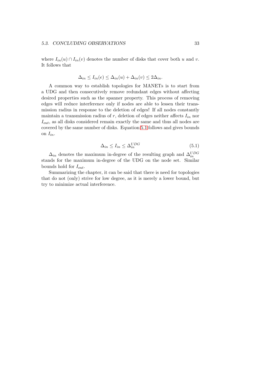where  $I_{in}(u) \cap I_{in}(v)$  denotes the number of disks that cover both u and v. It follows that

$$
\Delta_{in} \le I_{in}(e) \le \Delta_{in}(u) + \Delta_{in}(v) \le 2\Delta_{in}.
$$

A common way to establish topologies for MANETs is to start from a UDG and then consecutively remove redundant edges without affecting desired properties such as the spanner property. This process of removing edges will reduce interference only if nodes are able to lessen their transmission radius in response to the deletion of edges! If all nodes constantly maintain a transmission radius of  $r$ , deletion of edges neither affects  $I_{in}$  nor  $I_{out}$ , as all disks considered remain exactly the same and thus all nodes are covered by the same number of disks. Equation 5.1 follows and gives bounds on  $I_{in}$ .

$$
\Delta_{in} \le I_{in} \le \Delta_{in}^{UDG} \tag{5.1}
$$

 $\Delta_{in}$  denotes the maximum in-degree of the resulting graph and  $\Delta_{in}^{UDG}$ stands for the maximum in-degree of the UDG on the node set. Similar bounds hold for  $I_{out}$ .

Summarizing the chapter, it can be said that there is need for topologies that do not (only) strive for low degree, as it is merely a lower bound, but try to minimize actual interference.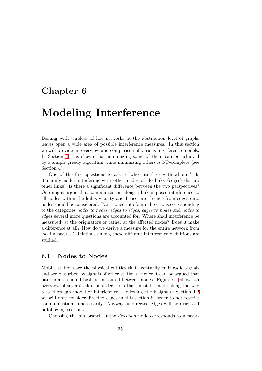### <span id="page-44-0"></span>Chapter 6

## Modeling Interference

Dealing with wireless ad-hoc networks at the abstraction level of graphs leaves open a wide area of possible interference measures. In this section we will provide an overview and comparison of various interference models. In Section 3 it is shown that minimizing some of them can be achieved by a simple greedy algorithm while minimizing others is NP-complete (see Section 4).

One of the first questions to ask is 'who interferes with whom'? Is it mainly [no](#page-22-0)des interfering with other nodes or do links (edges) disturb other links? Is there a significant difference between the two perspectives? One mi[gh](#page-30-0)t argue that communication along a link imposes interference to all nodes within the link's vicinity and hence interference from edges onto nodes should be considered. Partitioned into four subsections corresponding to the categories nodes to nodes, edges to edges, edges to nodes and nodes to edges several more questions are accounted for. Where shall interference be measured, at the originators or rather at the affected nodes? Does it make a difference at all? How do we derive a measure for the entire network from local measures? Relations among these different interference definitions are studied.

#### 6.1 Nodes to Nodes

Mobile stations are the physical entities that eventually emit radio signals and are disturbed by signals of other stations. Hence it can be argued that interference should best be measured between nodes. Figure 6.1 shows an overview of several additional decisions that must be made along the way to a thorough model of interference. Following the insight of Section 1.2 we will only consider directed edges in this section in order to not restrict communication unnecessarily. Anyway, undirected edges will [be](#page-45-0) discussed in following sections.

Choosing the *out* branch at the *direction* node corresponds to mea[sur-](#page-13-0)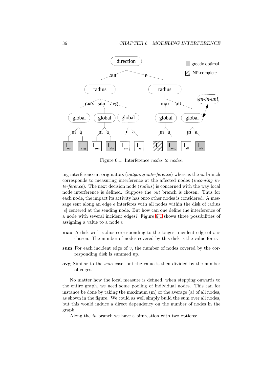<span id="page-45-0"></span>

Figure 6.1: Interference nodes to nodes.

ing interference at originators (outgoing interference) whereas the in branch corresponds to measuring interference at the affected nodes (incoming interference). The next decision node (radius) is concerned with the way local node interference is defined. Suppose the out branch is chosen. Thus for each node, the impact its activity has onto other nodes is considered. A message sent along an edge e interferes with all nodes within the disk of radius |e| centered at the sending node. But how can one define the interference of a node with several incident edges? Figure 6.1 shows three possibilities of assigning a value to a node v:

- $max A$  disk with radius corresponding to the longest incident edge of  $v$  is chosen. The number of nodes covered by this disk is the value for  $v$ .
- sum For each incident edge of  $v$ , the number of nodes covered by the corresponding disk is summed up.
- avg Similar to the sum case, but the value is then divided by the number of edges.

No matter how the local measure is defined, when stepping onwards to the entire graph, we need some pooling of individual nodes. This can for instance be done by taking the maximum (m) or the average (a) of all nodes, as shown in the figure. We could as well simply build the sum over all nodes, but this would induce a direct dependency on the number of nodes in the graph.

Along the in branch we have a bifurcation with two options: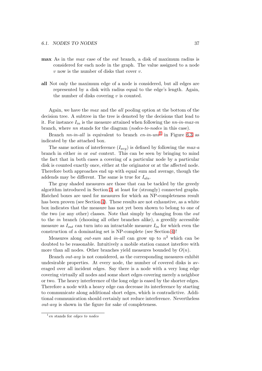- max As in the max case of the out branch, a disk of maximum radius is considered for each node in the graph. The value assigned to a node  $v$  now is the number of disks that cover  $v$ .
- all Not only the maximum edge of a node is considered, but all edges are represented by a disk with radius equal to the edge's length. Again, the number of disks covering  $v$  is counted.

Again, we have the max and the all pooling option at the bottom of the decision tree. A subtree in the tree is denoted by the decisions that lead to it. For instance  $I_{in}$  is the measure attained when following the  $nn\text{-}in\text{-}max\text{-}m$ branch, where nn stands for the diagram (nodes-to-nodes in this case).

Branch  $nn$ -in-all is equivalent to branch  $en$ -in-uni<sup>1</sup> in Figure 6.3 as indicated by the attached box.

The same notion of interference  $(I_{avg})$  is defined by following the max-a branch in either in or out context. This can be seen by bringing to mind the fact that in both cases a covering of a particular node by a par[ticu](#page-50-0)lar disk is counted exactly once, either at the originator or at the affected node. Therefore both approaches end up with equal sum and average, though the addends may be different. The same is true for  $I_{ala}$ .

The gray shaded measures are those that can be tackled by the greedy algorithm introduced in Section 3, at least for (strongly) connected graphs. Hatched boxes are used for measures for which an NP-completeness result has been proven (see Section 4). These results are not exhaustive, as a white box indicates that the measure has not yet been shown to belong to one of the two (or any other) classes. [No](#page-22-0)te that simply by changing from the out to the in branch (choosing all other branches alike), a greedily accessible measure as  $I_{out}$  can turn int[o a](#page-30-0)n intractable measure  $I_{in}$  for which even the construction of a dominating set is NP-complete (see Section 4)!

Measures along *out-sum* and *in-all* can grow up to  $n^2$  which can be doubted to be reasonable. Intuitively a mobile station cannot interfere with more than all nodes. Other branches yield measures bounded by  $O(n)$ .

Branch out-avg is not considered, as the corresponding me[as](#page-30-0)ures exhibit undesirable properties. At every node, the number of covered disks is averaged over all incident edges. Say there is a node with a very long edge covering virtually all nodes and some short edges covering merely a neighbor or two. The heavy interference of the long edge is eased by the shorter edges. Therefore a node with a heavy edge can decrease its interference by starting to communicate along additional short edges, which is contradictive. Additional communication should certainly not reduce interference. Nevertheless out-avg is shown in the figure for sake of completeness.

 $1$ en stands for edges to nodes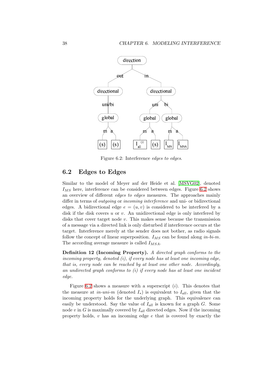<span id="page-47-0"></span>

Figure 6.2: Interference edges to edges.

#### 6.2 Edges to Edges

Similar to the model of Meyer auf der Heide et al. [MSVG02], denoted  $I_{MS}$  here, interference can be considered between edges. Figure 6.2 shows an overview of different edges to edges measures. The approaches mainly differ in terms of *outgoing* or *incoming interference* and uni- or bidirectional edges. A bidirectional edge  $e = (u, v)$  is considered t[o be interf](#page-57-0)ered by a disk if the disk covers  $u$  or  $v$ . An unidirectional edge is only interfered by disks that cover target node v. This makes sense because the transmission of a message via a directed link is only disturbed if interference occurs at the target. Interference merely at the sender does not bother, as radio signals follow the concept of linear superposition.  $I_{MS}$  can be found along in-bi-m. The according average measure is called  $I_{MSA}$ .

Definition 12 (Incoming Property). A directed graph conforms to the incoming property, denoted  $(i)$ , if every node has at least one incoming edge, that is, every node can be reached by at least one other node. Accordingly, an undirected graph conforms to (i) if every node has at least one incident edge.

Figure 6.2 shows a measure with a superscript  $(i)$ . This denotes that the measure at in-uni-m (denoted  $I_*$ ) is equivalent to  $I_{all}$ , given that the incoming property holds for the underlying graph. This equivalence can easily be understood. Say the value of  $I_{all}$  is known for a graph G. Some node  $v$  in  $G$  is maximally covered by  $I_{all}$  directed edges. Now if the incoming property holds,  $v$  has an incoming edge  $e$  that is covered by exactly the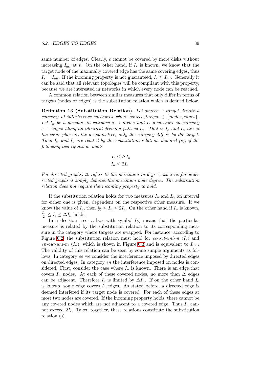same number of edges. Clearly, e cannot be covered by more disks without increasing  $I_{all}$  at v. On the other hand, if  $I_*$  is known, we know that the target node of the maximally covered edge has the same covering edges, thus  $I_* = I_{all}$ . If the incoming property is not guaranteed,  $I_* \leq I_{all}$ . Generally it can be said that all relevant topologies will be compliant with this property, because we are interested in networks in which every node can be reached.

A common relation between similar measures that only differ in terms of targets (nodes or edges) is the substitution relation which is defined below.

Definition 13 (Substitution Relation). Let source  $\rightarrow$  target denote a category of interference measures where source, target  $\in$  {nodes, edges}. Let  $I_n$  be a measure in category  $s \to n$  odes and  $I_e$  a measure in category  $s \rightarrow edges$  along an identical decision path as  $I_n$ . That is  $I_e$  and  $I_n$  are at the same place in the decision tree, only the category differs by the target. Then  $I_n$  and  $I_e$  are related by the substitution relation, denoted (s), if the following two equations hold:

$$
I_e \leq \Delta I_n
$$
  

$$
I_n \leq 2I_e
$$

For directed graphs,  $\Delta$  refers to the maximum in-degree, whereas for undirected graphs it simply denotes the maximum node degree. The substitution relation does not require the incoming property to hold.

If the substitution relation holds for two measures  $I_n$  and  $I_e$ , an interval for either one is given, dependent on the respective other measure. If we know the value of  $I_e$ , then  $\frac{I_e}{\Delta} \leq I_n \leq 2I_e$ . On the other hand if  $I_n$  is known,  $\frac{I_n}{2} \leq I_e \leq \Delta I_n$  holds.

In a decision tree, a box with symbol (s) means that the particular measure is related by the substitution relation to its corresponding measure in the category where targets are swapped. For instance, according to Figure 6.2, the substitution relation must hold for ee-out-uni-m  $(I_e)$  and en-out-uni-m  $(I_n)$ , which is shown in Figure 6.3 and is equivalent to  $I_{out}$ . The validity of this relation can be seen by some simple arguments as follows. In category ee we consider the interference imposed by directed edges on dire[cted](#page-47-0) edges. In category en the interference imposed on nodes is considered. First, consider the case where  $I_n$  is [know](#page-50-0)n. There is an edge that covers  $I_n$  nodes. At each of these covered nodes, no more than  $\Delta$  edges can be adjacent. Therefore  $I_e$  is limited by  $\Delta I_n$ . If on the other hand  $I_e$ is known, some edge covers  $I_e$  edges. As stated before, a directed edge is deemed interfered if its target node is covered. For each of these edges at most two nodes are covered. If the incoming property holds, there cannot be any covered nodes which are not adjacent to a covered edge. Thus  $I_n$  cannot exceed  $2I_e$ . Taken together, these relations constitute the substitution relation (s).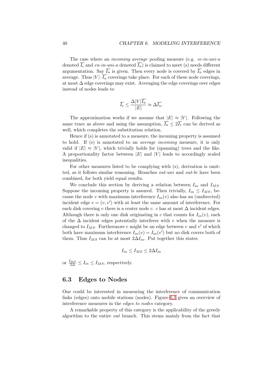<span id="page-49-0"></span>The case where an *incoming average* pooling measure (e.g. *ee-in-uni-a* denoted  $\overline{I_e}$  and en-in-uni-a denoted  $\overline{I_n}$ ) is claimed to meet (s) needs different argumentation. Say  $\overline{I_n}$  is given. Then every node is covered by  $\overline{I_n}$  edges in average. Thus  $|V| \cdot \overline{I_n}$  coverings take place. For each of these node coverings, at most ∆ edge coverings may exist. Averaging the edge coverings over edges instead of nodes leads to

$$
\overline{I_e} \le \frac{\Delta |V| \overline{I_n}}{|E|} \approx \Delta \overline{I_n}.
$$

The approximation works if we assume that  $|E| \approx |V|$ . Following the same trace as above and using the assumption,  $\overline{I_n} \leq 2\overline{I_e}$  can be derived as well, which completes the substitution relation.

Hence if (s) is annotated to a measure, the incoming property is assumed to hold. If (s) is annotated to an average incoming measure, it is only valid if  $|E| \approx |V|$ , which trivially holds for (spanning) trees and the like. A proportionality factor between  $|E|$  and  $|V|$  leads to accordingly scaled inequalities.

For other measures listed to be complying with (s), derivation is omitted, as it follows similar reasoning. Branches out-uni and out-bi have been combined, for both yield equal results.

We conclude this section by deriving a relation between  $I_{in}$  and  $I_{MS}$ . Suppose the incoming property is assured. Then trivially,  $I_{in} \leq I_{MS}$ , because the node v with maximum interference  $I_{in}(v)$  also has an (undirected) incident edge  $e = (v, v')$  with at least the same amount of interference. For each disk covering v there is a center node c. c has at most  $\Delta$  incident edges. Although there is only one disk originating in c that counts for  $I_{in}(v)$ , each of the  $\Delta$  incident edges potentially interferes with v when the measure is changed to  $I_{MS}$ . Furthermore e might be an edge between v and v' of which both have maximum interference  $I_{in}(v) = I_{in}(v')$  but no disk covers both of them. Thus  $I_{MS}$  can be at most  $2\Delta I_{in}$ . Put together this states

$$
I_{in} \leq I_{MS} \leq 2\Delta I_{in}
$$

or  $\frac{I_{MS}}{2\Delta} \leq I_{in} \leq I_{MS}$ , respectively.

#### 6.3 Edges to Nodes

One could be interested in measuring the interference of communication links (edges) onto mobile stations (nodes). Figure 6.3 gives an overview of interference measures in the edges to nodes category.

A remarkable property of this category is the applicability of the greedy algorithm to the entire out branch. This stems m[ainl](#page-50-0)y from the fact that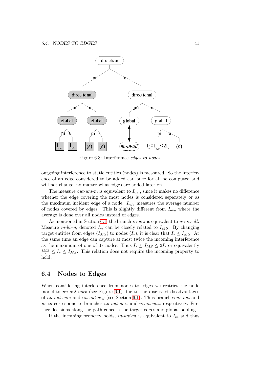<span id="page-50-0"></span>

Figure 6.3: Interference edges to nodes.

outgoing interference to static entities (nodes) is measured. So the interference of an edge considered to be added can once for all be computed and will not change, no matter what edges are added later on.

The measure *out-uni-m* is equivalent to  $I_{out}$ , since it makes no difference whether the edge covering the most nodes is considered separately or as the maximum incident edge of a node.  $I_{n/e}$  measures the average number of nodes covered by edges. This is slightly different from  $I_{avg}$  where the average is done over all nodes instead of edges.

As mentioned in Section 6.1, the branch *in-uni* is equivalent to *nn-in-all*. Measure *in-bi-m*, denoted  $I_*,$  can be closely related to  $I_{MS}$ . By changing target entities from edges  $(I_{MS})$  to nodes  $(I_*)$ , it is clear that  $I_* \leq I_{MS}$ . At the same time an edge can capture at most twice the incoming interference as the maximum of one of i[ts n](#page-44-0)odes. Thus  $I_* \leq I_{MS} \leq 2I_*$  or equivalently  $\frac{I_{MS}}{2} \leq I_* \leq I_{MS}$ . This relation does not require the incoming property to hold.

#### 6.4 Nodes to Edges

When considering interference from nodes to edges we restrict the node model to  $nn\text{-}out\text{-}max$  (see Figure 6.1) due to the discussed disadvantages of nn-out-sum and nn-out-avg (see Section 6.1). Thus branches ne-out and ne-in correspond to branches nn-out-max and nn-in-max respectively. Further decisions along the path concern the target edges and global pooling.

If the [in](#page-45-0)co[m](#page-44-0)ing property holds,  $in-uni-m$  is equivalent to  $I_{in}$  and thus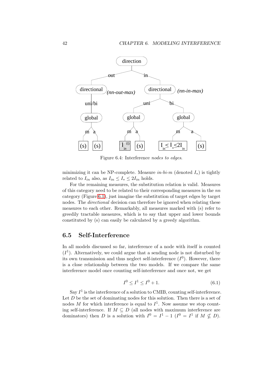<span id="page-51-0"></span>

Figure 6.4: Interference nodes to edges.

minimizing it can be NP-complete. Measure  $in-bi-m$  (denoted  $I_*$ ) is tightly related to  $I_{in}$  also, as  $I_{in} \leq I_* \leq 2I_{in}$  holds.

For the remaining measures, the substitution relation is valid. Measures of this category need to be related to their corresponding measures in the nn category (Figure 6.1), just imagine the substitution of target edges by target nodes. The *directional* decision can therefore be ignored when relating these measures to each other. Remarkably, all measures marked with (s) refer to greedily tractable measures, which is to say that upper and lower bounds constituted by ([s\) ca](#page-45-0)n easily be calculated by a greedy algorithm.

#### 6.5 Self-Interference

In all models discussed so far, interference of a node with itself is counted  $(I<sup>1</sup>)$ . Alternatively, we could argue that a sending node is not disturbed by its own transmission and thus neglect self-interference  $(I^0)$ . However, there is a close relationship between the two models. If we compare the same interference model once counting self-interference and once not, we get

$$
I^0 \le I^1 \le I^0 + 1. \tag{6.1}
$$

Say  $I<sup>1</sup>$  is the interference of a solution to CMIB, counting self-interference. Let  $D$  be the set of dominating nodes for this solution. Then there is a set of nodes M for which interference is equal to  $I^1$ . Now assume we stop counting self-interference. If  $M \subseteq D$  (all nodes with maximum interference are dominators) then D is a solution with  $I^0 = I^1 - 1$   $(I^0 = I^1$  if  $M \nsubseteq D)$ .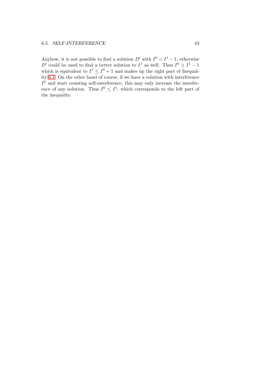Anyhow, it is not possible to find a solution  $D'$  with  $I^0 < I^1 - 1$ , otherwise D' could be used to find a better solution to  $I^1$  as well. Thus  $I^0 \geq I^1 - 1$ which is equivalent to  $I^1 \leq I^0 + 1$  and makes up the right part of Inequality 6.1. On the other hand of course, if we have a solution with interference  $I^0$  and start counting self-interference, this may only increase the interference of any solution. Thus  $I^0 \n\t\leq I^1$ , which corresponds to the left part of th[e ine](#page-51-0)quality.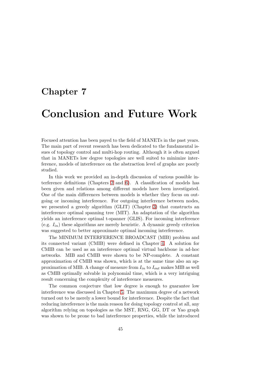### Chapter 7

## Conclusion and Future Work

Focused attention has been payed to the field of MANETs in the past years. The main part of recent research has been dedicated to the fundamental issues of topology control and multi-hop routing. Although it is often argued that in MANETs low degree topologies are well suited to minimize interference, models of interference on the abstraction level of graphs are poorly studied.

In this work we provided an in-depth discussion of various possible interference definitions (Chapters 2 and 6). A classification of models has been given and relations among different models have been investigated. One of the main differences between models is whether they focus on outgoing or incoming interference. For outgoing interference between nodes, we presented a greedy algorith[m](#page-16-0) (GLI[T\)](#page-44-0) (Chapter 3) that constructs an interference optimal spanning tree (MIT). An adaptation of the algorithm yields an interference optimal t-spanner (GLIS). For incoming interference (e.g.  $I_{in}$ ) these algorithms are merely heuristic. A dynamic greedy criterion was suggested to better approximate optimal incomi[ng](#page-22-0) interference.

The MINIMUM INTERFERENCE BROADCAST (MIB) problem and its connected variant (CMIB) were defined in Chapter 4. A solution for CMIB can be used as an interference optimal virtual backbone in ad-hoc networks. MIB and CMIB were shown to be NP-complete. A constant approximation of CMIB was shown, which is at the same time also an approxi[m](#page-30-0)ation of MIB. A change of measure from  $I_{in}$  to  $I_{out}$  makes MIB as well as CMIB optimally solvable in polynomial time, which is a very intriguing result concerning the complexity of interference measures.

The common conjecture that low degree is enough to guarantee low interference was discussed in Chapter 5. The maximum degree of a network turned out to be merely a lower bound for interference. Despite the fact that reducing interference is the main reason for doing topology control at all, any algorithm relying on topologies as the MST, RNG, GG, DT or Yao graph was shown to be prone to bad interfe[ren](#page-38-0)ce properties, while the introduced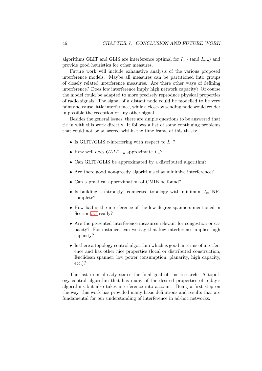algorithms GLIT and GLIS are interference optimal for  $I_{out}$  (and  $I_{avg}$ ) and provide good heuristics for other measures.

Future work will include exhaustive analysis of the various proposed interference models. Maybe all measures can be partitioned into groups of closely related interference measures. Are there other ways of defining interference? Does low interference imply high network capacity? Of course the model could be adapted to more precisely reproduce physical properties of radio signals. The signal of a distant node could be modelled to be very faint and cause little interference, while a close-by sending node would render impossible the reception of any other signal.

Besides the general issues, there are simple questions to be answered that tie in with this work directly. It follows a list of some continuing problems that could not be answered within the time frame of this thesis:

- Is GLIT/GLIS c-interfering with respect to  $I_{in}$ ?
- How well does  $GLIT_{imp}$  approximate  $I_{in}$ ?
- Can GLIT/GLIS be approximated by a distributed algorithm?
- Are there good non-greedy algorithms that minimize interference?
- Can a practical approximation of CMIB be found?
- Is building a (strongly) connected topology with minimum  $I_{in}$  NPcomplete?
- How bad is the interference of the low degree spanners mentioned in Section 5.1 really?
- Are the presented interference measures relevant for congestion or capacity? For instance, can we say that low interference implies high capacit[y?](#page-38-0)
- Is there a topology control algorithm which is good in terms of interference and has other nice properties (local or distributed construction, Euclidean spanner, low power consumption, planarity, high capacity, etc.)?

The last item already states the final goal of this research: A topology control algorithm that has many of the desired properties of today's algorithms but also takes interference into account. Being a first step on the way, this work has provided many basic definitions and results that are fundamental for our understanding of interference in ad-hoc networks.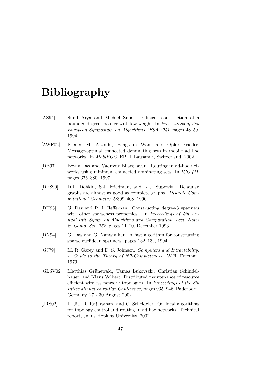## <span id="page-56-0"></span>Bibliography

- [AS94] Sunil Arya and Michiel Smid. Efficient construction of a bounded degree spanner with low weight. In Proceedings of 2nd European Symposium on Algorithms (ESA '94), pages 48–59, 1994.
- [AWF02] Khaled M. Alzoubi, Peng-Jun Wan, and Ophir Frieder. Message-optimal connected dominating sets in mobile ad hoc networks. In MobiHOC. EPFL Lausanne, Switzerland, 2002.
- [DB97] Bevan Das and Vaduvur Bharghavan. Routing in ad-hoc networks using minimum connected dominating sets. In  $ICC (1)$ , pages 376–380, 1997.
- [DFS90] D.P. Dobkin, S.J. Friedman, and K.J. Supowit. Delaunay graphs are almost as good as complete graphs. Discrete Computational Geometry, 5:399–408, 1990.
- [DH93] G. Das and P. J. Heffernan. Constructing degree-3 spanners with other sparseness properties. In Proceedings of 4th Annual Intl. Symp. on Algorithms and Computation, Lect. Notes in Comp. Sci. 762, pages 11–20, December 1993.
- [DN94] G. Das and G. Narasimhan. A fast algorithm for constructing sparse euclidean spanners. pages 132–139, 1994.
- [GJ79] M. R. Garey and D. S. Johnson. Computers and Intractability: A Guide to the Theory of NP-Completeness. W.H. Freeman, 1979.
- [GLSV02] Matthias Grünewald, Tamas Lukovszki, Christian Schindelhauer, and Klaus Volbert. Distributed maintenance of resource efficient wireless network topologies. In Proceedings of the 8th International Euro-Par Conference, pages 935–946, Paderborn, Germany, 27 - 30 August 2002.
- [JRS02] L. Jia, R. Rajaraman, and C. Scheideler. On local algorithms for topology control and routing in ad hoc networks. Technical report, Johns Hopkins University, 2002.